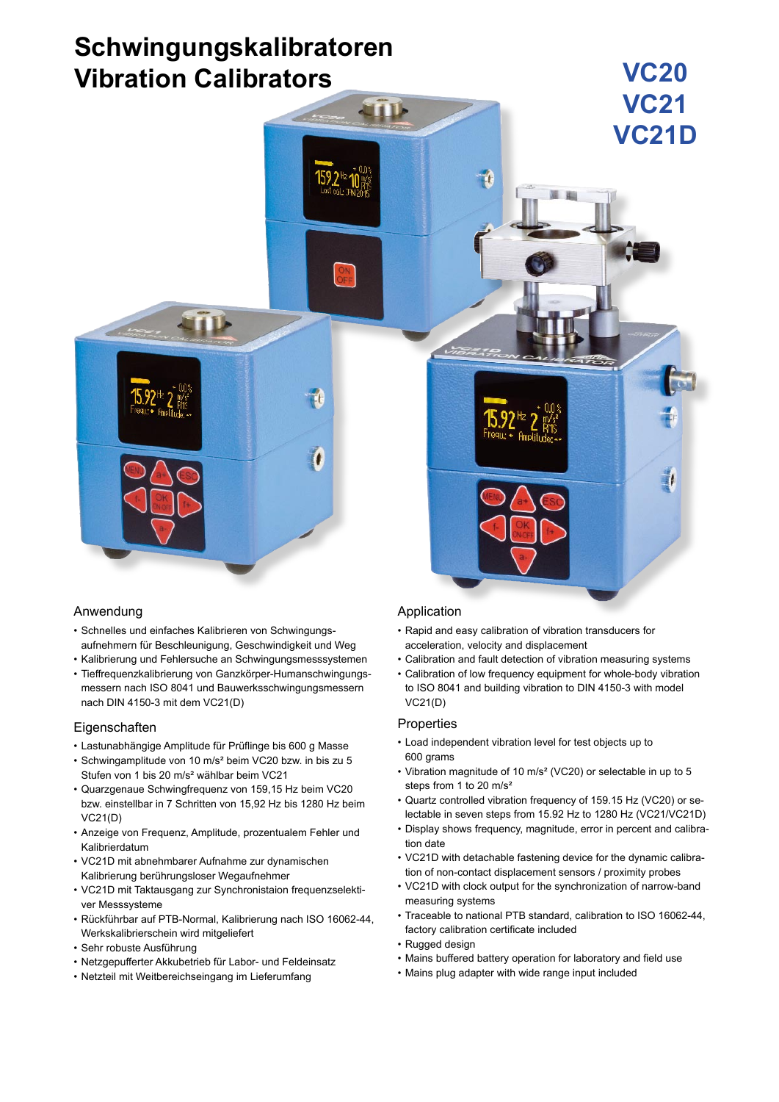# **Schwingungskalibratoren Vibration Calibrators**



# Anwendung

- • Schnelles und einfaches Kalibrieren von Schwingungsaufnehmern für Beschleunigung, Geschwindigkeit und Weg
- • Kalibrierung und Fehlersuche an Schwingungsmesssystemen
- • Tieffrequenzkalibrierung von Ganzkörper-Humanschwingungsmessern nach ISO 8041 und Bauwerksschwingungsmessern nach DIN 4150-3 mit dem VC21(D)

# **Eigenschaften**

- • Lastunabhängige Amplitude für Prüflinge bis 600 g Masse
- • Schwingamplitude von 10 m/s² beim VC20 bzw. in bis zu 5 Stufen von 1 bis 20 m/s² wählbar beim VC21
- • Quarzgenaue Schwingfrequenz von 159,15 Hz beim VC20 bzw. einstellbar in 7 Schritten von 15,92 Hz bis 1280 Hz beim VC21(D)
- • Anzeige von Frequenz, Amplitude, prozentualem Fehler und Kalibrierdatum
- • VC21D mit abnehmbarer Aufnahme zur dynamischen Kalibrierung berührungsloser Wegaufnehmer
- • VC21D mit Taktausgang zur Synchronistaion frequenzselektiver Messsysteme
- • Rückführbar auf PTB-Normal, Kalibrierung nach ISO 16062-44, Werkskalibrierschein wird mitgeliefert
- • Sehr robuste Ausführung
- • Netzgepufferter Akkubetrieb für Labor- und Feldeinsatz
- • Netzteil mit Weitbereichseingang im Lieferumfang

# Application

- • Rapid and easy calibration of vibration transducers for acceleration, velocity and displacement
- • Calibration and fault detection of vibration measuring systems

**VC20**

• Calibration of low frequency equipment for whole-body vibration to ISO 8041 and building vibration to DIN 4150-3 with model VC21(D)

# **Properties**

- • Load independent vibration level for test objects up to 600 grams
- • Vibration magnitude of 10 m/s² (VC20) or selectable in up to 5 steps from 1 to 20 m/s²
- • Quartz controlled vibration frequency of 159.15 Hz (VC20) or selectable in seven steps from 15.92 Hz to 1280 Hz (VC21/VC21D)
- • Display shows frequency, magnitude, error in percent and calibration date
- • VC21D with detachable fastening device for the dynamic calibration of non-contact displacement sensors / proximity probes
- • VC21D with clock output for the synchronization of narrow-band measuring systems • Traceable to national PTB standard, calibration to ISO 16062-44,
- factory calibration certificate included
- • Rugged design
- • Mains buffered battery operation for laboratory and field use
- • Mains plug adapter with wide range input included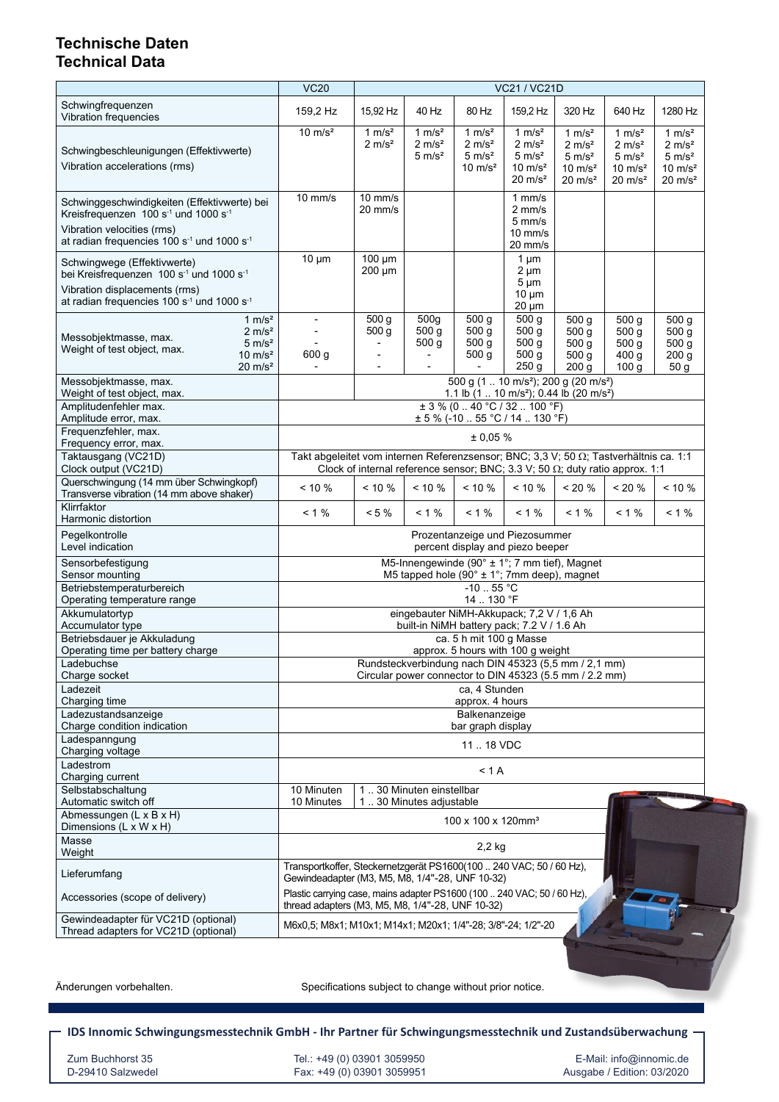# **Technische Daten Technical Data**

|                                                                                                                                                                         | <b>VC20</b>                                                                                                                 | <b>VC21 / VC21D</b>                                                                               |                                                      |                                                                           |                                                                                                  |                                                                                                |                                                                                                  |                                                                                                |
|-------------------------------------------------------------------------------------------------------------------------------------------------------------------------|-----------------------------------------------------------------------------------------------------------------------------|---------------------------------------------------------------------------------------------------|------------------------------------------------------|---------------------------------------------------------------------------|--------------------------------------------------------------------------------------------------|------------------------------------------------------------------------------------------------|--------------------------------------------------------------------------------------------------|------------------------------------------------------------------------------------------------|
| Schwingfrequenzen<br>Vibration frequencies                                                                                                                              | 159,2 Hz                                                                                                                    | 15,92 Hz                                                                                          | 40 Hz                                                | 80 Hz                                                                     | 159,2 Hz                                                                                         | 320 Hz                                                                                         | 640 Hz                                                                                           | 1280 Hz                                                                                        |
| Schwingbeschleunigungen (Effektivwerte)<br>Vibration accelerations (rms)                                                                                                | $10 \text{ m/s}^2$                                                                                                          | 1 $m/s2$<br>$2 \text{ m/s}^2$                                                                     | 1 $m/s2$<br>2 m/s <sup>2</sup><br>5 m/s <sup>2</sup> | 1 $m/s2$<br>2 m/s <sup>2</sup><br>$5 \text{ m/s}^2$<br>$10 \text{ m/s}^2$ | 1 $m/s2$<br>2 m/s <sup>2</sup><br>$5 \text{ m/s}^2$<br>$10 \text{ m/s}^2$<br>$20 \text{ m/s}^2$  | 1 $m/s2$<br>$2 \text{ m/s}^2$<br>$5 \text{ m/s}^2$<br>$10 \text{ m/s}^2$<br>$20 \text{ m/s}^2$ | 1 $m/s^2$<br>$2 \text{ m/s}^2$<br>$5 \text{ m/s}^2$<br>$10 \text{ m/s}^2$<br>$20 \text{ m/s}^2$  | 1 $m/s2$<br>$2 \text{ m/s}^2$<br>$5 \text{ m/s}^2$<br>$10 \text{ m/s}^2$<br>$20 \text{ m/s}^2$ |
| Schwinggeschwindigkeiten (Effektivwerte) bei<br>Kreisfrequenzen 100 s <sup>-1</sup> und 1000 s <sup>-1</sup><br>Vibration velocities (rms)                              | $10$ mm/s                                                                                                                   | $10$ mm/s<br>$20 \text{ mm/s}$                                                                    |                                                      |                                                                           | $1$ mm/s<br>$2 \text{ mm/s}$<br>$5 \text{ mm/s}$<br>$10$ mm/s                                    |                                                                                                |                                                                                                  |                                                                                                |
| at radian frequencies 100 s <sup>-1</sup> und 1000 s <sup>-1</sup><br>Schwingwege (Effektivwerte)                                                                       | $10 \mu m$                                                                                                                  | $100 \mu m$<br>200 µm                                                                             |                                                      |                                                                           | 20 mm/s<br>1 $\mu$ m<br>$2 \mu m$                                                                |                                                                                                |                                                                                                  |                                                                                                |
| bei Kreisfrequenzen 100 s <sup>-1</sup> und 1000 s <sup>-1</sup><br>Vibration displacements (rms)<br>at radian frequencies 100 s <sup>-1</sup> und 1000 s <sup>-1</sup> |                                                                                                                             |                                                                                                   |                                                      |                                                                           | $5 \mu m$<br>$10 \mu m$<br>$20 \mu m$                                                            |                                                                                                |                                                                                                  |                                                                                                |
| 1 $m/s2$<br>2 m/s <sup>2</sup><br>Messobjektmasse, max.<br>$5 \text{ m/s}^2$<br>Weight of test object, max.<br>$10 \text{ m/s}^2$<br>$20 \text{ m/s}^2$                 | $\overline{\phantom{0}}$<br>600 <sub>g</sub>                                                                                | 500 <sub>g</sub><br>500 g                                                                         | 500 <sub>g</sub><br>500 g<br>500 <sub>g</sub>        | 500 <sub>g</sub><br>500 <sub>q</sub><br>500 <sub>g</sub><br>500 g         | 500 <sub>g</sub><br>500 <sub>g</sub><br>500 <sub>g</sub><br>500 <sub>g</sub><br>250 <sub>g</sub> | 500 <sub>g</sub><br>500 g<br>500 <sub>g</sub><br>500 <sub>g</sub><br>200 <sub>g</sub>          | 500 <sub>g</sub><br>500 <sub>g</sub><br>500 <sub>g</sub><br>400 <sub>g</sub><br>100 <sub>g</sub> | 500 <sub>g</sub><br>500 <sub>g</sub><br>500 <sub>g</sub><br>200 <sub>g</sub><br>50 g           |
| Messobjektmasse, max.<br>Weight of test object, max.                                                                                                                    | 500 g (1 . 10 m/s <sup>2</sup> ); 200 g (20 m/s <sup>2</sup> )                                                              |                                                                                                   |                                                      |                                                                           |                                                                                                  |                                                                                                |                                                                                                  |                                                                                                |
| Amplitudenfehler max.                                                                                                                                                   | 1.1 lb (1  10 m/s <sup>2</sup> ); 0.44 lb (20 m/s <sup>2</sup> )<br>$\pm$ 3 % (0.40 °C / 32.100 °F)                         |                                                                                                   |                                                      |                                                                           |                                                                                                  |                                                                                                |                                                                                                  |                                                                                                |
| Amplitude error, max.<br>Frequenzfehler, max.                                                                                                                           | $\pm$ 5 % (-10  55 °C / 14  130 °F)                                                                                         |                                                                                                   |                                                      |                                                                           |                                                                                                  |                                                                                                |                                                                                                  |                                                                                                |
| Frequency error, max.<br>Taktausgang (VC21D)                                                                                                                            | ± 0.05%<br>Takt abgeleitet vom internen Referenzsensor; BNC; 3,3 V; 50 $\Omega$ ; Tastverhältnis ca. 1:1                    |                                                                                                   |                                                      |                                                                           |                                                                                                  |                                                                                                |                                                                                                  |                                                                                                |
| Clock output (VC21D)<br>Querschwingung (14 mm über Schwingkopf)                                                                                                         | $< 10 \%$                                                                                                                   | Clock of internal reference sensor; BNC; 3.3 V; 50 $\Omega$ ; duty ratio approx. 1:1<br>$< 10 \%$ | $< 10 \%$                                            | $< 10 \%$                                                                 | $< 10 \%$                                                                                        | < 20 %                                                                                         | $< 20 \%$                                                                                        | $< 10 \%$                                                                                      |
| Transverse vibration (14 mm above shaker)<br>Klirrfaktor                                                                                                                |                                                                                                                             |                                                                                                   |                                                      |                                                                           |                                                                                                  |                                                                                                |                                                                                                  |                                                                                                |
| Harmonic distortion                                                                                                                                                     | $< 1 \%$                                                                                                                    | $< 5 \%$                                                                                          | $< 1 \%$                                             | $< 1 \%$                                                                  | $< 1 \%$                                                                                         | $< 1 \%$                                                                                       | $< 1 \%$                                                                                         | $< 1 \%$                                                                                       |
| Pegelkontrolle<br>Level indication                                                                                                                                      | Prozentanzeige und Piezosummer<br>percent display and piezo beeper                                                          |                                                                                                   |                                                      |                                                                           |                                                                                                  |                                                                                                |                                                                                                  |                                                                                                |
| Sensorbefestigung<br>Sensor mounting                                                                                                                                    | M5-Innengewinde (90° ± 1°; 7 mm tief), Magnet<br>M5 tapped hole (90° ± 1°; 7mm deep), magnet                                |                                                                                                   |                                                      |                                                                           |                                                                                                  |                                                                                                |                                                                                                  |                                                                                                |
| Betriebstemperaturbereich<br>Operating temperature range                                                                                                                | $-10$ 55 °C<br>14  130 °F                                                                                                   |                                                                                                   |                                                      |                                                                           |                                                                                                  |                                                                                                |                                                                                                  |                                                                                                |
| Akkumulatortvp<br>Accumulator type                                                                                                                                      | eingebauter NiMH-Akkupack; 7,2 V / 1,6 Ah<br>built-in NiMH battery pack; 7.2 V / 1.6 Ah                                     |                                                                                                   |                                                      |                                                                           |                                                                                                  |                                                                                                |                                                                                                  |                                                                                                |
| Betriebsdauer je Akkuladung                                                                                                                                             | ca. 5 h mit 100 g Masse                                                                                                     |                                                                                                   |                                                      |                                                                           |                                                                                                  |                                                                                                |                                                                                                  |                                                                                                |
| Operating time per battery charge<br>Ladebuchse                                                                                                                         | approx. 5 hours with 100 g weight<br>Rundsteckverbindung nach DIN 45323 (5,5 mm / 2,1 mm)                                   |                                                                                                   |                                                      |                                                                           |                                                                                                  |                                                                                                |                                                                                                  |                                                                                                |
| Charge socket<br>Ladezeit                                                                                                                                               | Circular power connector to DIN 45323 (5.5 mm / 2.2 mm)<br>ca, 4 Stunden                                                    |                                                                                                   |                                                      |                                                                           |                                                                                                  |                                                                                                |                                                                                                  |                                                                                                |
| Charging time                                                                                                                                                           | approx. 4 hours                                                                                                             |                                                                                                   |                                                      |                                                                           |                                                                                                  |                                                                                                |                                                                                                  |                                                                                                |
| Ladezustandsanzeige<br>Charge condition indication                                                                                                                      | Balkenanzeige<br>bar graph display                                                                                          |                                                                                                   |                                                      |                                                                           |                                                                                                  |                                                                                                |                                                                                                  |                                                                                                |
| Ladespanngung<br>Charging voltage                                                                                                                                       | 11  18 VDC                                                                                                                  |                                                                                                   |                                                      |                                                                           |                                                                                                  |                                                                                                |                                                                                                  |                                                                                                |
| Ladestrom<br>Charging current                                                                                                                                           | < 1 A                                                                                                                       |                                                                                                   |                                                      |                                                                           |                                                                                                  |                                                                                                |                                                                                                  |                                                                                                |
| Selbstabschaltung<br>Automatic switch off                                                                                                                               | 10 Minuten<br>10 Minutes                                                                                                    |                                                                                                   | 130 Minuten einstellbar                              |                                                                           |                                                                                                  |                                                                                                |                                                                                                  |                                                                                                |
| Abmessungen (L x B x H)<br>Dimensions (L x W x H)                                                                                                                       | 130 Minutes adjustable<br>100 x 100 x 120mm <sup>3</sup>                                                                    |                                                                                                   |                                                      |                                                                           |                                                                                                  |                                                                                                |                                                                                                  |                                                                                                |
| Masse<br>Weight                                                                                                                                                         | $2,2$ kg                                                                                                                    |                                                                                                   |                                                      |                                                                           |                                                                                                  |                                                                                                |                                                                                                  |                                                                                                |
| Lieferumfang                                                                                                                                                            | Transportkoffer, Steckernetzgerät PS1600(100  240 VAC; 50 / 60 Hz),<br>Gewindeadapter (M3, M5, M8, 1/4"-28, UNF 10-32)      |                                                                                                   |                                                      |                                                                           |                                                                                                  |                                                                                                |                                                                                                  |                                                                                                |
| Accessories (scope of delivery)                                                                                                                                         | Plastic carrying case, mains adapter PS1600 (100  240 VAC; 50 / 60 Hz),<br>thread adapters (M3, M5, M8, 1/4"-28, UNF 10-32) |                                                                                                   |                                                      |                                                                           |                                                                                                  |                                                                                                |                                                                                                  |                                                                                                |
| Gewindeadapter für VC21D (optional)<br>Thread adapters for VC21D (optional)                                                                                             | M6x0.5; M8x1; M10x1; M14x1; M20x1; 1/4"-28; 3/8"-24; 1/2"-20                                                                |                                                                                                   |                                                      |                                                                           |                                                                                                  |                                                                                                |                                                                                                  |                                                                                                |

Änderungen vorbehalten. The Specifications subject to change without prior notice.

**IDS Innomic Schwingungsmesstechnik GmbH - Ihr Partner für Schwingungsmesstechnik und Zustandsüberwachung**

 Zum Buchhorst 35 Tel.: +49 (0) 03901 3059950 E-Mail: info@innomic.de D-29410 Salzwedel Fax: +49 (0) 03901 3059951 Ausgabe / Edition: 03/2020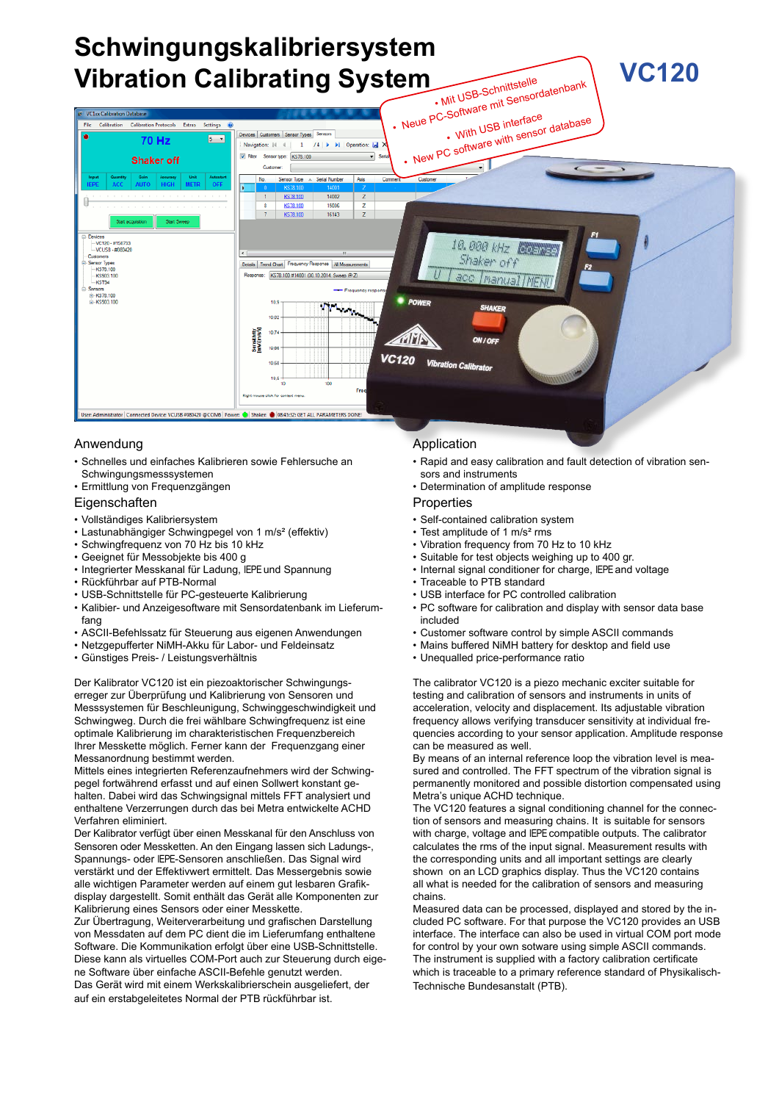#### **Schwingungskalibriersystem VC120 Vibration Calibrating System** . Mit USB-Schnittstelle • Mit USB-Schnittstelle<br>• Mit USB-Schnit Sensordatenbank<br>• Neue PC-Software mit Sensordatabas •• With USB interface **New PC software with sensor database Estate** بماء  $5 - 7$ 70 Hz /4 | D | Di | Operation: 1 Navigation: |4 4  $\mathbf{L}$ **DE CANA** Sensor type: KS78.100  $\overline{\mathbf{r}}$ **Shaker off** Customer  $\frac{z}{z}$ 16143 wices<br>- VC120 - #1507:<br>- VCUSB - #0804 10.000 kHz LOB Shaker off nsor Types<br>- KS78.100 Details Trend Chart Freque  $-0.$ se ALM nee: KS78.100 #14001 (30.10.2014, Sw reep @ Z) *Manual INF* **KS903**<br>- KST94 E-KS78.100  $\gamma$  ,  $\gamma$ 10 10.83 10.7 MM **VC120**  $101$ Fre ected Device: VCUSB #080420 @COM6 Pov er: Shaker: 8 08:45:32: GET ALL PARAMETERS DON!

# Anwendung

- • Schnelles und einfaches Kalibrieren sowie Fehlersuche an Schwingungsmesssystemen
- • Ermittlung von Frequenzgängen

### **Eigenschaften**

- • Vollständiges Kalibriersystem
- • Lastunabhängiger Schwingpegel von 1 m/s² (effektiv)
- • Schwingfrequenz von 70 Hz bis 10 kHz
- • Geeignet für Messobjekte bis 400 g
- • Integrierter Messkanal für Ladung, IEPE und Spannung
- • Rückführbar auf PTB-Normal
- • USB-Schnittstelle für PC-gesteuerte Kalibrierung
- • Kalibier- und Anzeigesoftware mit Sensordatenbank im Lieferumfang
- • ASCII-Befehlssatz für Steuerung aus eigenen Anwendungen
- • Netzgepufferter NiMH-Akku für Labor- und Feldeinsatz
- • Günstiges Preis- / Leistungsverhältnis

Der Kalibrator VC120 ist ein piezoaktorischer Schwingungserreger zur Überprüfung und Kalibrierung von Sensoren und Messsystemen für Beschleunigung, Schwinggeschwindigkeit und Schwingweg. Durch die frei wählbare Schwingfrequenz ist eine optimale Kalibrierung im charakteristischen Frequenzbereich Ihrer Messkette möglich. Ferner kann der Frequenzgang einer Messanordnung bestimmt werden.

Mittels eines integrierten Referenzaufnehmers wird der Schwingpegel fortwährend erfasst und auf einen Sollwert konstant gehalten. Dabei wird das Schwingsignal mittels FFT analysiert und enthaltene Verzerrungen durch das bei Metra entwickelte ACHD Verfahren eliminiert.

Der Kalibrator verfügt über einen Messkanal für den Anschluss von Sensoren oder Messketten. An den Eingang lassen sich Ladungs-, Spannungs- oder IEPE-Sensoren anschließen. Das Signal wird verstärkt und der Effektivwert ermittelt. Das Messergebnis sowie alle wichtigen Parameter werden auf einem gut lesbaren Grafikdisplay dargestellt. Somit enthält das Gerät alle Komponenten zur Kalibrierung eines Sensors oder einer Messkette.

Zur Übertragung, Weiterverarbeitung und grafischen Darstellung von Messdaten auf dem PC dient die im Lieferumfang enthaltene Software. Die Kommunikation erfolgt über eine USB-Schnittstelle. Diese kann als virtuelles COM-Port auch zur Steuerung durch eigene Software über einfache ASCII-Befehle genutzt werden. Das Gerät wird mit einem Werkskalibrierschein ausgeliefert, der auf ein erstabgeleitetes Normal der PTB rückführbar ist.

# Application

- • Rapid and easy calibration and fault detection of vibration sensors and instruments
- • Determination of amplitude response

### Properties

- • Self-contained calibration system
- Test amplitude of 1 m/s<sup>2</sup> rms
- • Vibration frequency from 70 Hz to 10 kHz
- • Suitable for test objects weighing up to 400 gr.
- • Internal signal conditioner for charge, IEPE and voltage
- Traceable to PTB standard
- • USB interface for PC controlled calibration
- PC software for calibration and display with sensor data base included
- • Customer software control by simple ASCII commands
- • Mains buffered NiMH battery for desktop and field use
- • Unequalled price-performance ratio

The calibrator VC120 is a piezo mechanic exciter suitable for testing and calibration of sensors and instruments in units of acceleration, velocity and displacement. Its adjustable vibration frequency allows verifying transducer sensitivity at individual frequencies according to your sensor application. Amplitude response can be measured as well.

By means of an internal reference loop the vibration level is measured and controlled. The FFT spectrum of the vibration signal is permanently monitored and possible distortion compensated using Metra's unique ACHD technique.

The VC120 features a signal conditioning channel for the connection of sensors and measuring chains. It is suitable for sensors with charge, voltage and IEPE compatible outputs. The calibrator calculates the rms of the input signal. Measurement results with the corresponding units and all important settings are clearly shown on an LCD graphics display. Thus the VC120 contains all what is needed for the calibration of sensors and measuring chains.

Measured data can be processed, displayed and stored by the included PC software. For that purpose the VC120 provides an USB interface. The interface can also be used in virtual COM port mode for control by your own sotware using simple ASCII commands. The instrument is supplied with a factory calibration certificate which is traceable to a primary reference standard of Physikalisch-Technische Bundesanstalt (PTB).